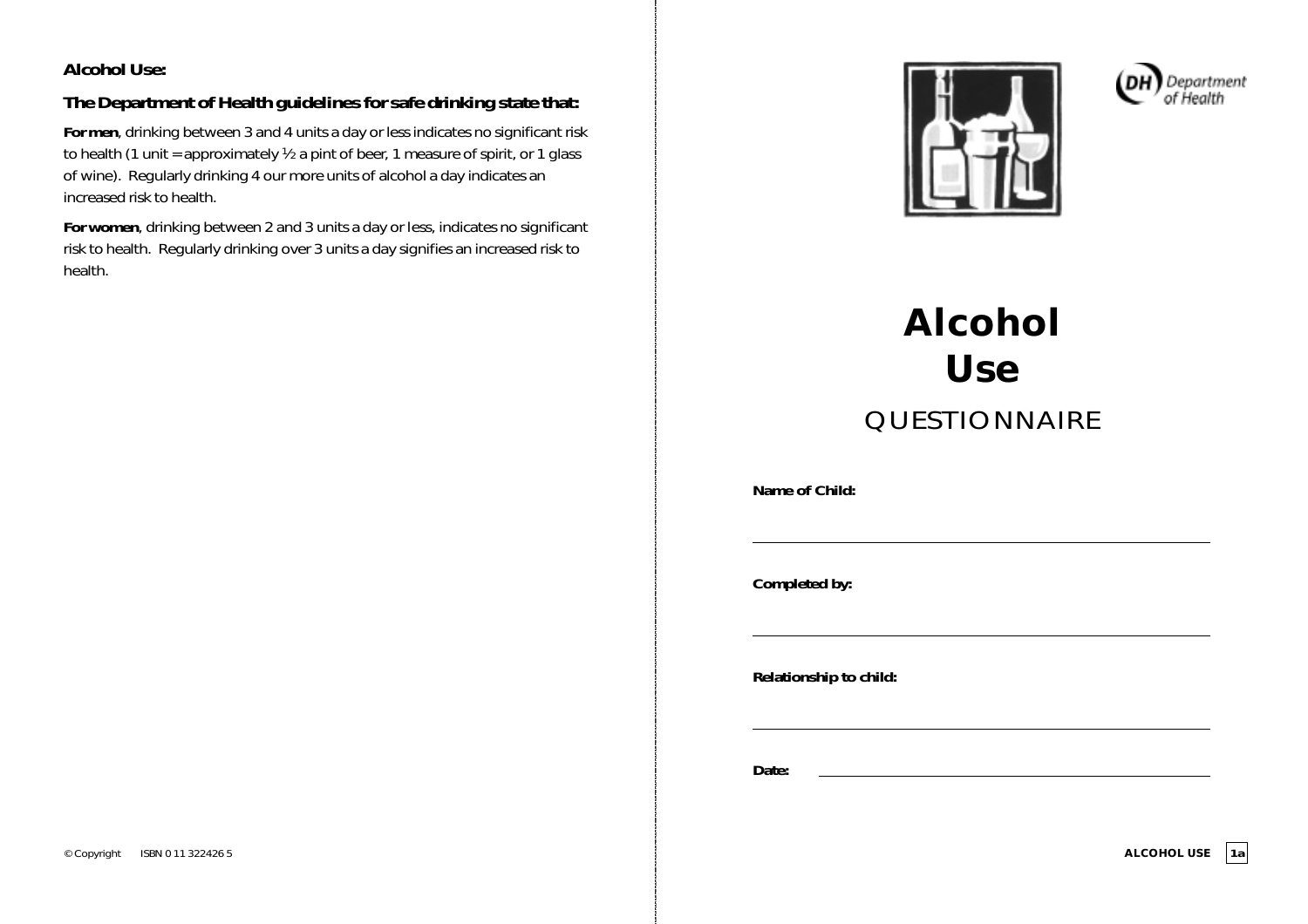### **Alcohol Use:**

## **The Department of Health guidelines for safe drinking state that:**

**For men**, drinking between 3 and 4 units a day or less indicates no significant risk to health (1 unit = approximately  $\frac{1}{2}$  a pint of beer, 1 measure of spirit, or 1 glass of wine). Regularly drinking 4 our more units of alcohol a day indicates an increased risk to health.

**For women**, drinking between 2 and 3 units a day *or less*, indicates no significant risk to health. Regularly drinking over 3 units a day signifies an increased risk to health.





# **Alcohol Use** QUESTIONNAIRE

**Name of Child:**

**Completed by:**

**Relationship to child:**

**Date:**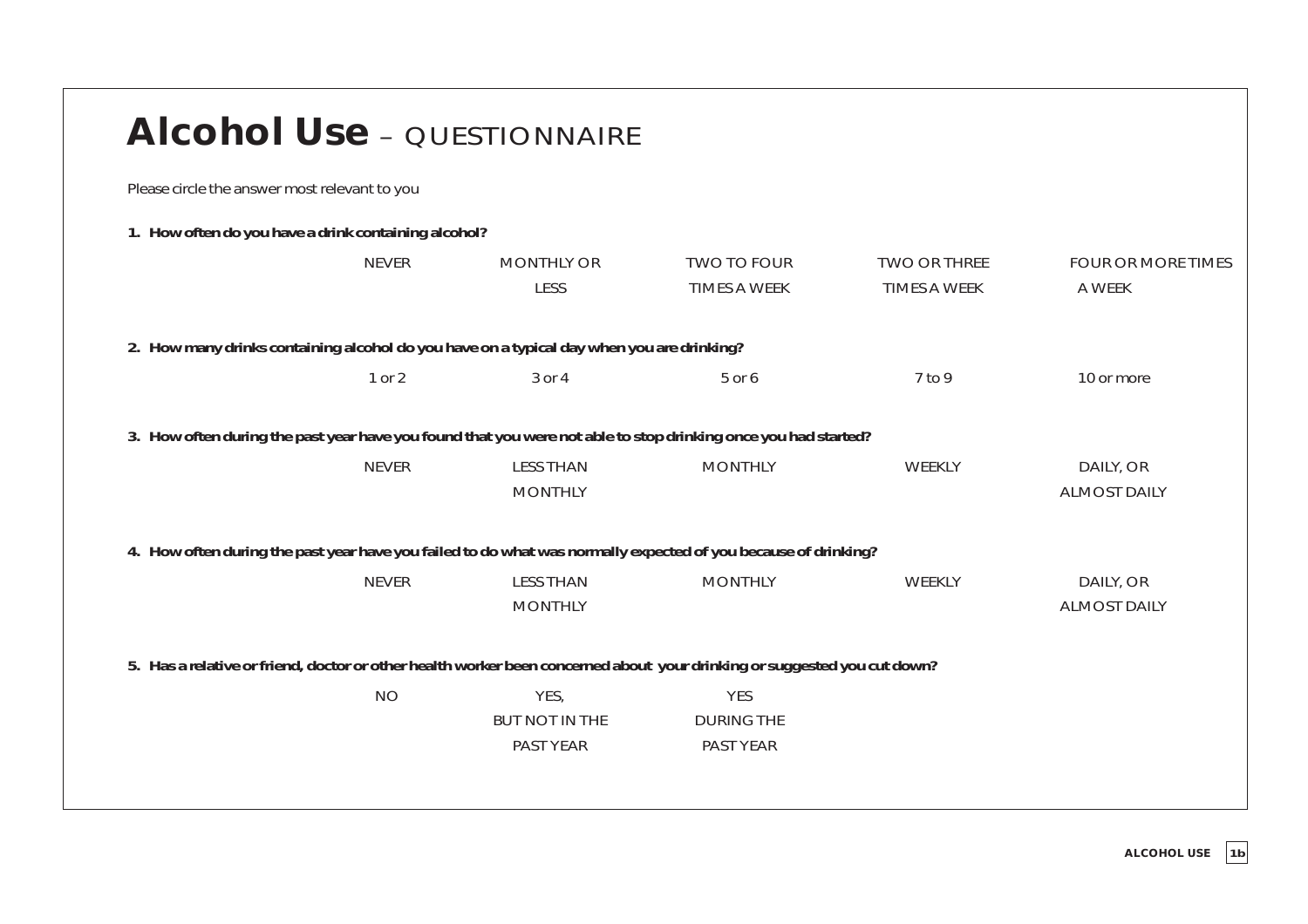| <b>Alcohol Use - QUESTIONNAIRE</b>                   |              |                                                                                                                          |                                              |                                            |                                     |
|------------------------------------------------------|--------------|--------------------------------------------------------------------------------------------------------------------------|----------------------------------------------|--------------------------------------------|-------------------------------------|
| Please circle the answer most relevant to you        |              |                                                                                                                          |                                              |                                            |                                     |
| 1. How often do you have a drink containing alcohol? |              |                                                                                                                          |                                              |                                            |                                     |
|                                                      | <b>NEVER</b> | <b>MONTHLY OR</b><br><b>LESS</b>                                                                                         | <b>TWO TO FOUR</b><br><b>TIMES A WEEK</b>    | <b>TWO OR THREE</b><br><b>TIMES A WEEK</b> | <b>FOUR OR MORE TIMES</b><br>A WEEK |
|                                                      |              | 2. How many drinks containing alcohol do you have on a typical day when you are drinking?                                |                                              |                                            |                                     |
|                                                      | 1 or 2       | 3 or 4                                                                                                                   | 5 or 6                                       | 7 to 9                                     | 10 or more                          |
|                                                      |              | 3. How often during the past year have you found that you were not able to stop drinking once you had started?           |                                              |                                            |                                     |
|                                                      | <b>NEVER</b> | <b>LESS THAN</b><br><b>MONTHLY</b>                                                                                       | <b>MONTHLY</b>                               | <b>WEEKLY</b>                              | DAILY, OR<br><b>ALMOST DAILY</b>    |
|                                                      |              | 4. How often during the past year have you failed to do what was normally expected of you because of drinking?           |                                              |                                            |                                     |
|                                                      | <b>NEVER</b> | <b>LESS THAN</b><br><b>MONTHLY</b>                                                                                       | <b>MONTHLY</b>                               | WEEKLY                                     | DAILY, OR<br><b>ALMOST DAILY</b>    |
|                                                      |              | 5. Has a relative or friend, doctor or other health worker been concerned about your drinking or suggested you cut down? |                                              |                                            |                                     |
|                                                      | <b>NO</b>    | YES,<br><b>BUT NOT IN THE</b><br>PAST YEAR                                                                               | <b>YES</b><br><b>DURING THE</b><br>PAST YEAR |                                            |                                     |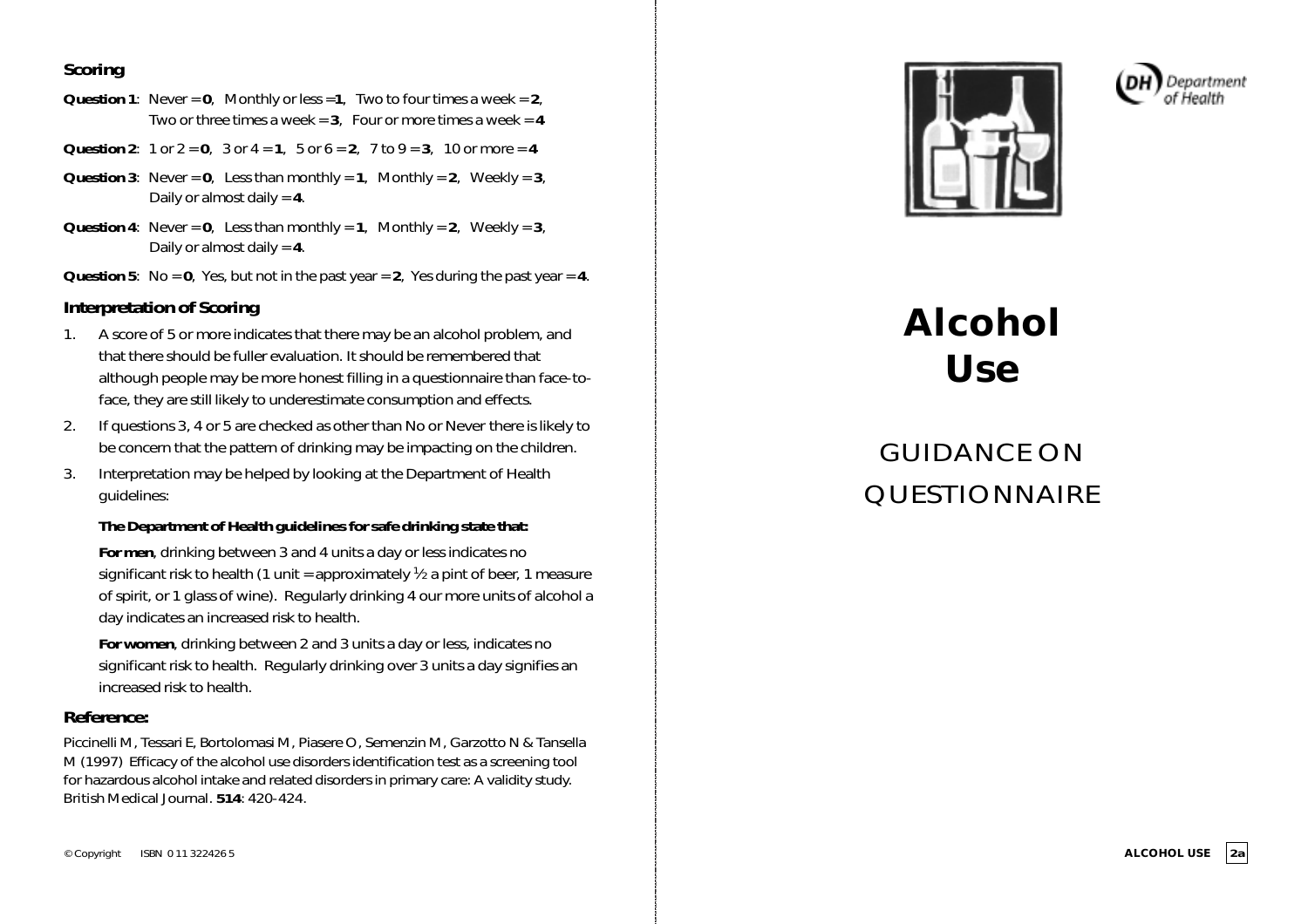### **Scoring**

- **Question 1**: Never = **0**, Monthly or less =**1**, Two to four times a week = **2**, Two or three times a week  $= 3$ . Four or more times a week  $= 4$
- **Question 2**: 1 or  $2 = 0$ , 3 or  $4 = 1$ , 5 or  $6 = 2$ , 7 to  $9 = 3$ , 10 or more = 4
- **Question 3**: Never =  $\mathbf{0}$ , Less than monthly =  $\mathbf{1}$ , Monthly =  $\mathbf{2}$ , Weekly =  $\mathbf{3}$ , Daily or almost daily = **4**.
- **Question 4:** Never =  $0$ , Less than monthly =  $1$ , Monthly =  $2$ , Weekly =  $3$ , Daily or almost daily = **4**.
- **Question 5:** No =  $0$ , Yes, but not in the past year =  $2$ , Yes during the past year =  $4$ .

### **Interpretation of Scoring**

- 1. A score of 5 or more indicates that there may be an alcohol problem, and that there should be fuller evaluation. It should be remembered that although people may be more honest filling in a questionnaire than face-toface, they are still likely to underestimate consumption and effects.
- 2. If questions 3, 4 or 5 are checked as other than *No* or *Never* there is likely to be concern that the pattern of drinking may be impacting on the children.
- 3. Interpretation may be helped by looking at the Department of Health guidelines:

#### **The Department of Health guidelines for safe drinking state that:**

**For men**, drinking between 3 and 4 units a day or less indicates no significant risk to health (1 unit = approximately  $\frac{1}{2}$  a pint of beer, 1 measure of spirit, or 1 glass of wine). Regularly drinking 4 our more units of alcohol a day indicates an increased risk to health.

**For women**, drinking between 2 and 3 units a day or less, indicates no significant risk to health. Regularly drinking over 3 units a day signifies an increased risk to health.

### **Reference:**

Piccinelli M, Tessari E, Bortolomasi M, Piasere O, Semenzin M, Garzotto N & Tansella M (1997) Efficacy of the alcohol use disorders identification test as a screening tool for hazardous alcohol intake and related disorders in primary care: A validity study. *British Medical Journal*. **514**: 420-424.





# **Alcohol Use**

# GUIDANCE ON QUESTIONNAIRE